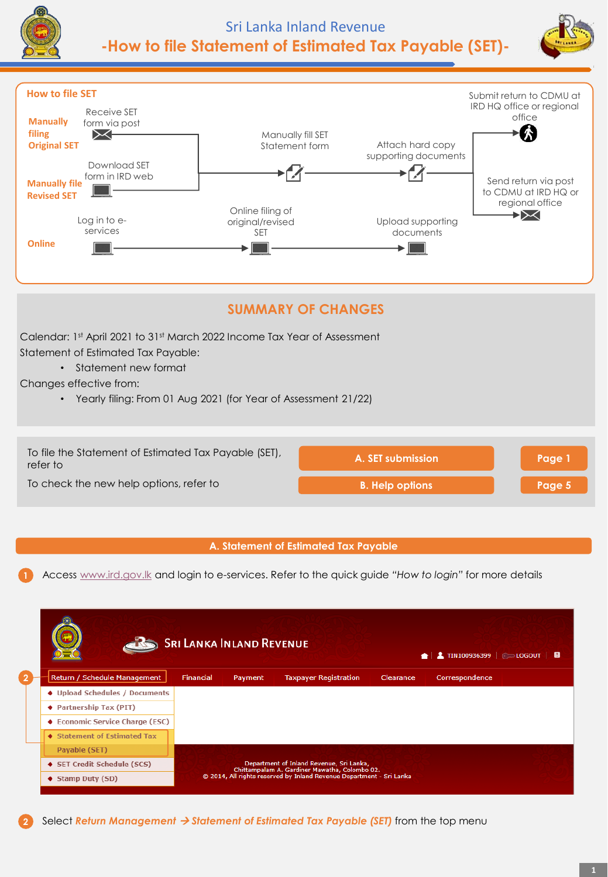





# **SUMMARY OF CHANGES**

Calendar: 1st April 2021 to 31st March 2022 Income Tax Year of Assessment Statement of Estimated Tax Payable:

• Statement new format

Changes effective from:

• Yearly filing: From 01 Aug 2021 (for Year of Assessment 21/22)



## **A. Statement of Estimated Tax Payable**

**1** Access [www.ird.gov.lk](http://www.ird.gov.lk/) and login to e-services. Refer to the quick guide *"How to login"* for more details

|                                 | <b>SRI LANKA INLAND REVENUE</b> |         |                                                                                           |           | $\triangle$   $\triangle$ TIN100936399   $\subset$ LOGOUT   $\Box$ |
|---------------------------------|---------------------------------|---------|-------------------------------------------------------------------------------------------|-----------|--------------------------------------------------------------------|
| Return / Schedule Management    | Financial                       | Payment | <b>Taxpayer Registration</b>                                                              | Clearance | Correspondence                                                     |
| ♦ Upload Schedules / Documents  |                                 |         |                                                                                           |           |                                                                    |
| ♦ Partnership Tax (PIT)         |                                 |         |                                                                                           |           |                                                                    |
| ♦ Economic Service Charge (ESC) |                                 |         |                                                                                           |           |                                                                    |
| ◆ Statement of Estimated Tax    |                                 |         |                                                                                           |           |                                                                    |
| Payable (SET)                   |                                 |         |                                                                                           |           |                                                                    |
| ♦ SET Credit Schedule (SCS)     |                                 |         | Department of Inland Revenue, Sri Lanka,<br>Chittampalam A. Gardiner Mawatha, Colombo 02. |           |                                                                    |
| $\blacklozenge$ Stamp Duty (SD) |                                 |         | © 2014, All rights reserved by Inland Revenue Department - Sri Lanka                      |           |                                                                    |
|                                 |                                 |         |                                                                                           |           |                                                                    |

**2** Select *Return Management* → *Statement of Estimated Tax Payable (SET)* from the top menu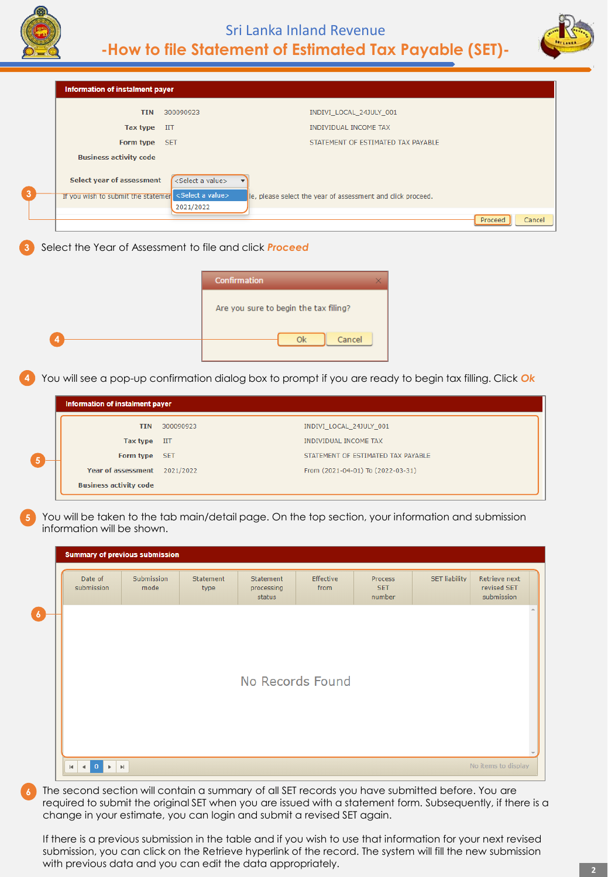

**Business activity code** 

# Sri Lanka Inland Revenue **-How to file Statement of Estimated Tax Payable (SET)-**



| Information of instalment payer    |                                               |                                                                                                         |
|------------------------------------|-----------------------------------------------|---------------------------------------------------------------------------------------------------------|
| <b>TIN</b>                         | 300090923                                     | INDIVI_LOCAL_24JULY_001                                                                                 |
| <b>Tax type</b>                    | IIT                                           | <b>INDIVIDUAL INCOME TAX</b>                                                                            |
| Form type                          | <b>SET</b>                                    | STATEMENT OF ESTIMATED TAX PAYABLE                                                                      |
| <b>Business activity code</b>      |                                               |                                                                                                         |
|                                    |                                               |                                                                                                         |
| Select year of assessment          | <select a="" value=""></select>               |                                                                                                         |
| If you wish to submit the statemer | <select a="" value=""><br/>2021/2022</select> | le, please select the year of assessment and click proceed.                                             |
|                                    |                                               | Proceed<br>Cancel                                                                                       |
|                                    |                                               |                                                                                                         |
|                                    |                                               | Confirmation                                                                                            |
|                                    |                                               | Are you sure to begin the tax filing?                                                                   |
|                                    |                                               | Ok<br>Cancel                                                                                            |
|                                    |                                               | You will see a pop-up confirmation dialog box to prompt if you are ready to begin tax filling. Click Ok |
| Information of instalment payer    |                                               |                                                                                                         |
| <b>TIN</b>                         | 300090923                                     | INDIVI_LOCAL_24JULY_001                                                                                 |
| <b>Tax type</b>                    | IIT                                           | INDIVIDUAL INCOME TAX                                                                                   |
| Form type                          | <b>SET</b>                                    | STATEMENT OF ESTIMATED TAX PAYABLE                                                                      |

**5** You will be taken to the tab main/detail page. On the top section, your information and submission information will be shown.

| Date of<br>submission | Submission<br>mode | Statement<br>type | Statement<br>processing<br>status | Effective<br>from | <b>Process</b><br><b>SET</b><br>number | <b>SET liability</b> | Retrieve next<br>revised SET<br>submission |  |  |  |  |  |  |
|-----------------------|--------------------|-------------------|-----------------------------------|-------------------|----------------------------------------|----------------------|--------------------------------------------|--|--|--|--|--|--|
|                       |                    |                   |                                   |                   |                                        |                      |                                            |  |  |  |  |  |  |
|                       |                    |                   |                                   |                   |                                        |                      |                                            |  |  |  |  |  |  |
| No Records Found      |                    |                   |                                   |                   |                                        |                      |                                            |  |  |  |  |  |  |
|                       |                    |                   |                                   |                   |                                        |                      |                                            |  |  |  |  |  |  |
|                       |                    |                   |                                   |                   |                                        |                      |                                            |  |  |  |  |  |  |
|                       |                    |                   |                                   |                   |                                        |                      |                                            |  |  |  |  |  |  |

The second section will contain a summary of all SET records you have submitted before. You are required to submit the original SET when you are issued with a statement form. Subsequently, if there is a change in your estimate, you can login and submit a revised SET again.

If there is a previous submission in the table and if you wish to use that information for your next revised submission, you can click on the Retrieve hyperlink of the record. The system will fill the new submission with previous data and you can edit the data appropriately.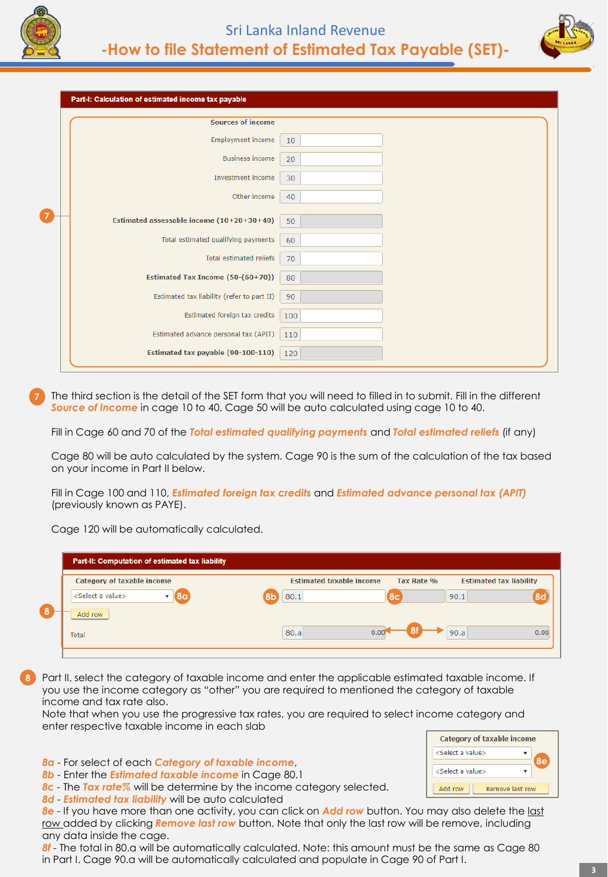

**7**



Part-I: Calculation of estimated income tax payable

| <b>Sources of income</b>                   |     |  |
|--------------------------------------------|-----|--|
| <b>Employment income</b>                   | 10  |  |
| <b>Business income</b>                     | 20  |  |
| Investment income                          | 30  |  |
| Other income                               | 40  |  |
| Estimated assessable income (10+20+30+40)  | 50  |  |
| Total estimated qualifying payments        | 60  |  |
| Total estimated reliefs                    | 70  |  |
| Estimated Tax Income (50-(60+70))          | 80  |  |
| Estimated tax liability (refer to part II) | 90  |  |
| Estimated foreign tax credits              | 100 |  |
| Estimated advance personal tax (APIT)      | 110 |  |
| Estimated tax payable (90-100-110)         | 120 |  |
|                                            |     |  |

**7** The third section is the detail of the SET form that you will need to filled in to submit. Fill in the different *Source of Income* in cage 10 to 40. Cage 50 will be auto calculated using cage 10 to 40.

Fill in Cage 60 and 70 of the *Total estimated qualifying payments* and *Total estimated reliefs* (if any)

Cage 80 will be auto calculated by the system. Cage 90 is the sum of the calculation of the tax based on your income in Part II below.

Fill in Cage 100 and 110, *Estimated foreign tax credits* and *Estimated advance personal tax (APIT)*  (previously known as PAYE).

Cage 120 will be automatically calculated.

| <b>Category of taxable income</b>                             | <b>Estimated taxable income</b> | Tax Rate %     | <b>Estimated tax liability</b> |
|---------------------------------------------------------------|---------------------------------|----------------|--------------------------------|
| <select a="" value=""><br/>8<sub>q</sub><br/>Add row</select> | 80.1<br>8b                      | 8 <sup>c</sup> | 90.1<br>8d                     |
| Total                                                         | 80.a<br>0.00                    |                | 90.a<br>0.00                   |

**8** Part II, select the category of taxable income and enter the applicable estimated taxable income. If you use the income category as "other" you are required to mentioned the category of taxable income and tax rate also.

Note that when you use the progressive tax rates, you are required to select income category and enter respective taxable income in each slab

*8a* - For select of each *Category of taxable income*,

*8b* - Enter the *Estimated taxable income* in Cage 80.1

- *8c* The *Tax rate%* will be determine by the income category selected.
- *8d Estimated tax liability* will be auto calculated

*8e* - If you have more than one activity, you can click on *Add row* button. You may also delete the last row added by clicking **Remove last row** button. Note that only the last row will be remove, including any data inside the cage.

*8f* - The total in 80.a will be automatically calculated. Note: this amount must be the same as Cage 80 in Part I. Cage 90.a will be automatically calculated and populate in Cage 90 of Part I.

**8e**

 $\mathbf{v}$ 

Remove last row

**Category of taxable income** 

<Select a value> <Select a value>

Add row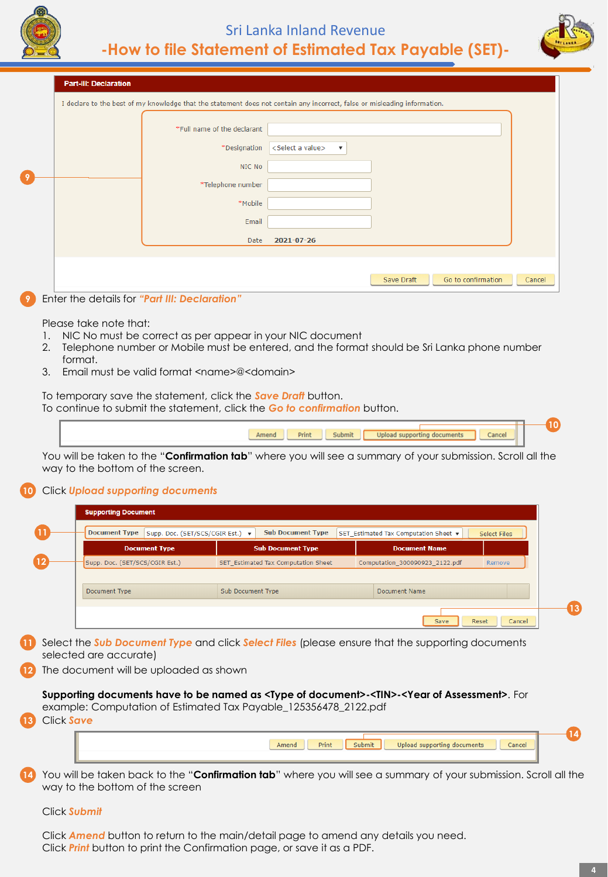# Sri Lanka Inland Revenue **-How to file Statement of Estimated Tax Payable (SET)-**

or misleading information.



| <b>Part-III: Declaration</b> |                                                                                                |                                 |
|------------------------------|------------------------------------------------------------------------------------------------|---------------------------------|
|                              | I declare to the best of my knowledge that the statement does not contain any incorrect, false |                                 |
|                              |                                                                                                |                                 |
|                              | *Full name of the declarant                                                                    |                                 |
|                              | *Designation                                                                                   | <select a="" value=""></select> |

|  | *Full name of the declarant |                                                                                           |
|--|-----------------------------|-------------------------------------------------------------------------------------------|
|  | *Designation                | <select a="" value=""><br/><math display="inline">\boldsymbol{\mathrm{v}}</math></select> |
|  | NIC No                      |                                                                                           |
|  | *Telephone number           |                                                                                           |
|  | *Mobile                     |                                                                                           |
|  | Email                       |                                                                                           |
|  | Date                        | 2021-07-26                                                                                |
|  |                             |                                                                                           |
|  |                             | Go to confirmation<br>Save Draft<br>Cancel                                                |

#### **9** Enter the details for *"Part III: Declaration"*

Please take note that:

**9**

- 1. NIC No must be correct as per appear in your NIC document
- 2. Telephone number or Mobile must be entered, and the format should be Sri Lanka phone number format.
- 3. Email must be valid format <name>@<domain>

To temporary save the statement, click the *Save Draft* button. To continue to submit the statement, click the *Go to confirmation* button.

| <b>Contract Contract Contract</b><br>ancel<br>Print<br>lin |  |
|------------------------------------------------------------|--|
|                                                            |  |

You will be taken to the "**Confirmation tab**" where you will see a summary of your submission. Scroll all the way to the bottom of the screen.

#### **10** Click *Upload supporting documents*

|                                | Supp. Doc. (SET/SCS/CGIR Est.) ▼       |                   | <b>Sub Document Type</b>            | SET_Estimated Tax Computation Sheet v                                                                          | <b>Select Files</b> |
|--------------------------------|----------------------------------------|-------------------|-------------------------------------|----------------------------------------------------------------------------------------------------------------|---------------------|
|                                | <b>Document Type</b>                   |                   | <b>Sub Document Type</b>            | <b>Document Name</b>                                                                                           |                     |
| Supp. Doc. (SET/SCS/CGIR Est.) |                                        |                   | SET Estimated Tax Computation Sheet | Computation 300090923 2122.pdf                                                                                 | Remove              |
|                                |                                        |                   |                                     |                                                                                                                |                     |
| Document Type                  |                                        | Sub Document Type |                                     | Document Name                                                                                                  |                     |
|                                |                                        |                   |                                     |                                                                                                                |                     |
|                                |                                        |                   |                                     | Save                                                                                                           | Reset<br>Cancel     |
| selected are accurate)         |                                        |                   |                                     | Select the <b>Sub Document Type</b> and click <b>Select Files</b> (please ensure that the supporting documents |                     |
|                                |                                        |                   |                                     |                                                                                                                |                     |
|                                | The document will be uploaded as shown |                   |                                     |                                                                                                                |                     |

| and sense." | Print | nte. | :ancel |  |
|-------------|-------|------|--------|--|
|             |       |      |        |  |

**14** You will be taken back to the "**Confirmation tab**" where you will see a summary of your submission. Scroll all the way to the bottom of the screen

Click *Submit*

Click *Amend* button to return to the main/detail page to amend any details you need. Click *Print* button to print the Confirmation page, or save it as a PDF.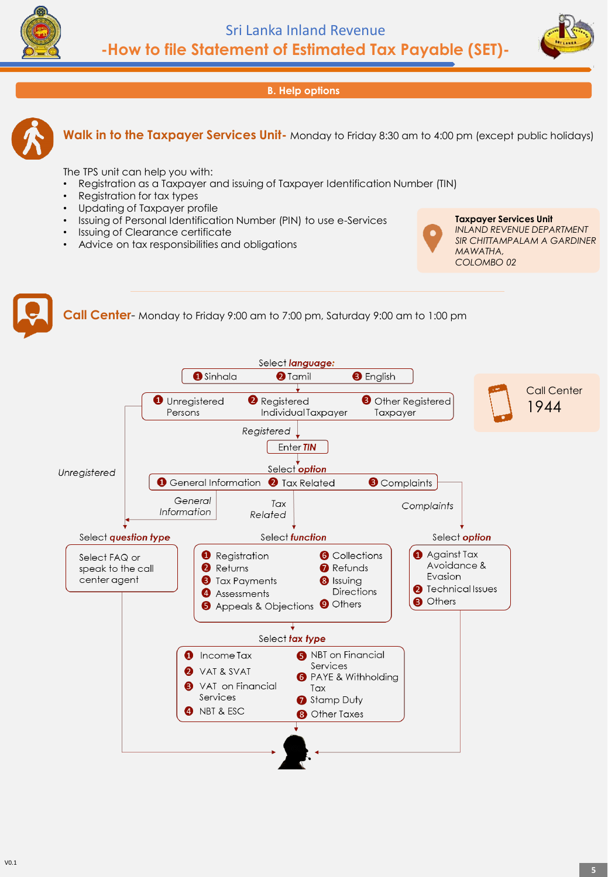



**B. Help options**



**Walk in to the Taxpayer Services Unit-** Monday to Friday 8:30 am to 4:00 pm (except public holidays)

The TPS unit can help you with:

- Registration as a Taxpayer and issuing of Taxpayer Identification Number (TIN)
- Registration for tax types
- Updating of Taxpayer profile
- Issuing of Personal Identification Number (PIN) to use e-Services
- Issuing of Clearance certificate
- Advice on tax responsibilities and obligations



**Taxpayer Services Unit** *INLAND REVENUE DEPARTMENT SIR CHITTAMPALAM A GARDINER MAWATHA, COLOMBO 02*



**Call Center**- Monday to Friday 9:00 am to 7:00 pm, Saturday 9:00 am to 1:00 pm

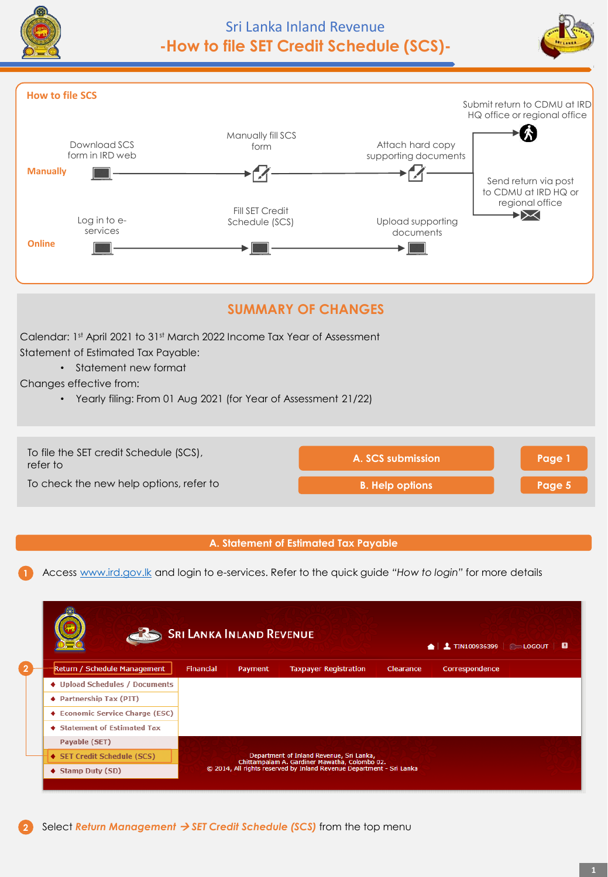





# **SUMMARY OF CHANGES**

Calendar: 1st April 2021 to 31st March 2022 Income Tax Year of Assessment Statement of Estimated Tax Payable:

• Statement new format

Changes effective from:

• Yearly filing: From 01 Aug 2021 (for Year of Assessment 21/22)



# **A. Statement of Estimated Tax Payable**

**1** Access [www.ird.gov.lk](http://www.ird.gov.lk/) and login to e-services. Refer to the quick guide *"How to login"* for more details

|                                 | <b>SRI LANKA INLAND REVENUE</b> |         |                                                                                           |           | $\bigcap$ 1 1 100936399 $\bigcap$ LOGOUT $\bigcap$ |  |
|---------------------------------|---------------------------------|---------|-------------------------------------------------------------------------------------------|-----------|----------------------------------------------------|--|
| Return / Schedule Management    | <b>Financial</b>                | Payment | <b>Taxpayer Registration</b>                                                              | Clearance | Correspondence                                     |  |
| ♦ Upload Schedules / Documents  |                                 |         |                                                                                           |           |                                                    |  |
| ♦ Partnership Tax (PIT)         |                                 |         |                                                                                           |           |                                                    |  |
| ♦ Economic Service Charge (ESC) |                                 |         |                                                                                           |           |                                                    |  |
| ♦ Statement of Estimated Tax    |                                 |         |                                                                                           |           |                                                    |  |
| Payable (SET)                   |                                 |         |                                                                                           |           |                                                    |  |
| ◆ SET Credit Schedule (SCS)     |                                 |         | Department of Inland Revenue, Sri Lanka,<br>Chittampalam A. Gardiner Mawatha, Colombo 02. |           |                                                    |  |
| $\blacklozenge$ Stamp Duty (SD) |                                 |         | © 2014, All rights reserved by Inland Revenue Department - Sri Lanka                      |           |                                                    |  |

**2** Select *Return Management* → *SET Credit Schedule (SCS)* from the top menu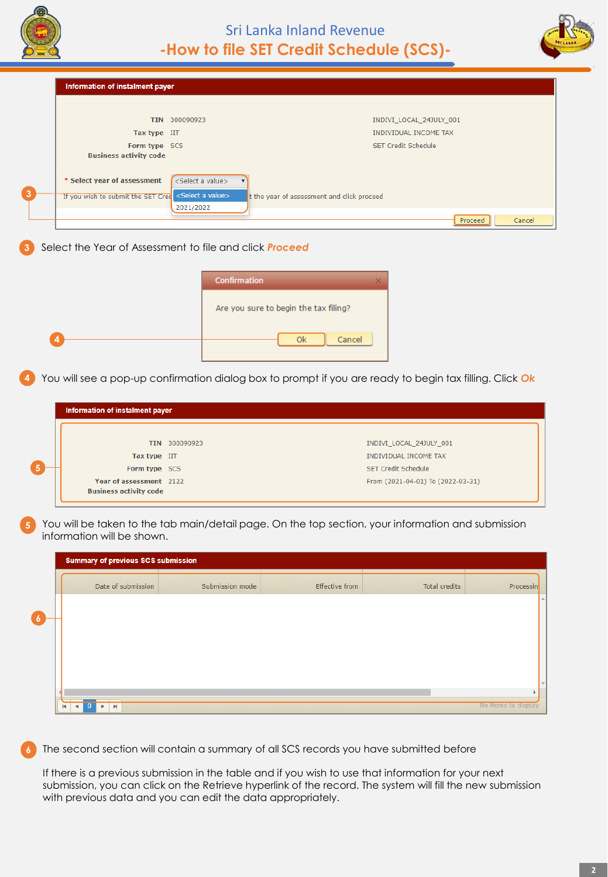



Information of instalment payer TIN 300090923 INDIVI\_LOCAL\_24JULY\_001 Tax type IIT **INDIVIDUAL INCOME TAX** Form type SCS **SET Credit Schedule Business activity code** \* Select year of assessment <Select a value> **3** If you wish to submit the SET Cred <Select a value> t the year of assessment and click proceed 2021/2022 Cancel Proceed

## **3** Select the Year of Assessment to file and click *Proceed*

| <b>Confirmation</b>                   |  |
|---------------------------------------|--|
| Are you sure to begin the tax filing? |  |
| Cancel<br>Ok                          |  |

**4** You will see a pop-up confirmation dialog box to prompt if you are ready to begin tax filling. Click *Ok*

| Information of instalment payer                          |               |                                   |
|----------------------------------------------------------|---------------|-----------------------------------|
|                                                          |               |                                   |
|                                                          | TIN 300090923 | INDIVI_LOCAL_24JULY_001           |
| Tax type IIT                                             |               | <b>INDIVIDUAL INCOME TAX</b>      |
| Form type SCS                                            |               | <b>SET Credit Schedule</b>        |
| Year of assessment 2122<br><b>Business activity code</b> |               | From (2021-04-01) To (2022-03-31) |

**5** You will be taken to the tab main/detail page. On the top section, your information and submission information will be shown.

|                |              | <b>Summary of previous SCS submission</b>                                  |                    |                 |                       |               |                     |
|----------------|--------------|----------------------------------------------------------------------------|--------------------|-----------------|-----------------------|---------------|---------------------|
|                |              |                                                                            | Date of submission | Submission mode | <b>Effective from</b> | Total credits | Processin           |
| $\overline{6}$ |              |                                                                            |                    |                 |                       |               |                     |
|                |              |                                                                            |                    |                 |                       |               |                     |
|                |              |                                                                            |                    |                 |                       |               |                     |
|                |              |                                                                            |                    |                 |                       |               |                     |
|                |              |                                                                            |                    |                 |                       |               |                     |
|                | $\mathbf{H}$ | $\bf{0}$<br>$\mathbb{P}\mathbb{I}$<br>$\blacktriangleleft$<br>$\mathbf{r}$ |                    |                 |                       |               | No items to display |

The second section will contain a summary of all SCS records you have submitted before

If there is a previous submission in the table and if you wish to use that information for your next submission, you can click on the Retrieve hyperlink of the record. The system will fill the new submission with previous data and you can edit the data appropriately.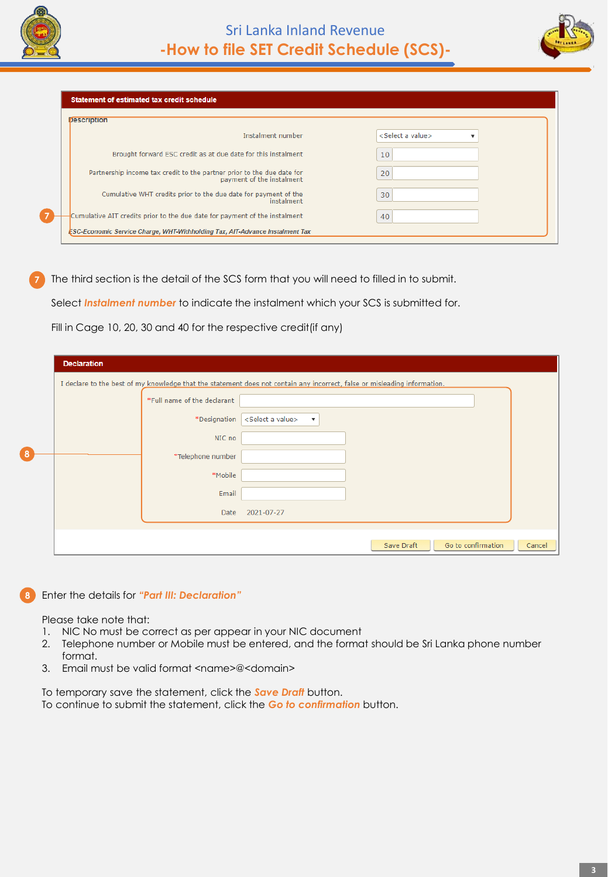

**7**



**Statement of estimated tax credit schedule** 

| Instalment number                                                                                   | <select a="" value=""></select> |
|-----------------------------------------------------------------------------------------------------|---------------------------------|
| Brought forward ESC credit as at due date for this instalment                                       | 10                              |
| Partnership income tax credit to the partner prior to the due date for<br>payment of the instalment | 20                              |
| Cumulative WHT credits prior to the due date for payment of the<br>instalment                       | 30                              |
| Cumulative AIT credits prior to the due date for payment of the instalment                          | 40                              |

**7** The third section is the detail of the SCS form that you will need to filled in to submit.

Select *Instalment number* to indicate the instalment which your SCS is submitted for.

Fill in Cage 10, 20, 30 and 40 for the respective credit(if any)

|           | <b>Declaration</b> |                             |                                                                                                                           |        |
|-----------|--------------------|-----------------------------|---------------------------------------------------------------------------------------------------------------------------|--------|
|           |                    |                             | I declare to the best of my knowledge that the statement does not contain any incorrect, false or misleading information. |        |
|           |                    | *Full name of the declarant |                                                                                                                           |        |
|           |                    | *Designation                | <select a="" value=""><br/><math display="inline">\boldsymbol{\mathrm{v}}</math></select>                                 |        |
|           |                    | NIC no                      |                                                                                                                           |        |
| $\bullet$ |                    | *Telephone number           |                                                                                                                           |        |
|           |                    | *Mobile                     |                                                                                                                           |        |
|           |                    | Email                       |                                                                                                                           |        |
|           |                    | Date                        | 2021-07-27                                                                                                                |        |
|           |                    |                             |                                                                                                                           |        |
|           |                    |                             | Go to confirmation<br>Save Draft                                                                                          | Cancel |

#### **8** Enter the details for *"Part III: Declaration"*

Please take note that:

- 1. NIC No must be correct as per appear in your NIC document
- 2. Telephone number or Mobile must be entered, and the format should be Sri Lanka phone number format.
- 3. Email must be valid format <name>@<domain>

To temporary save the statement, click the *Save Draft* button. To continue to submit the statement, click the *Go to confirmation* button.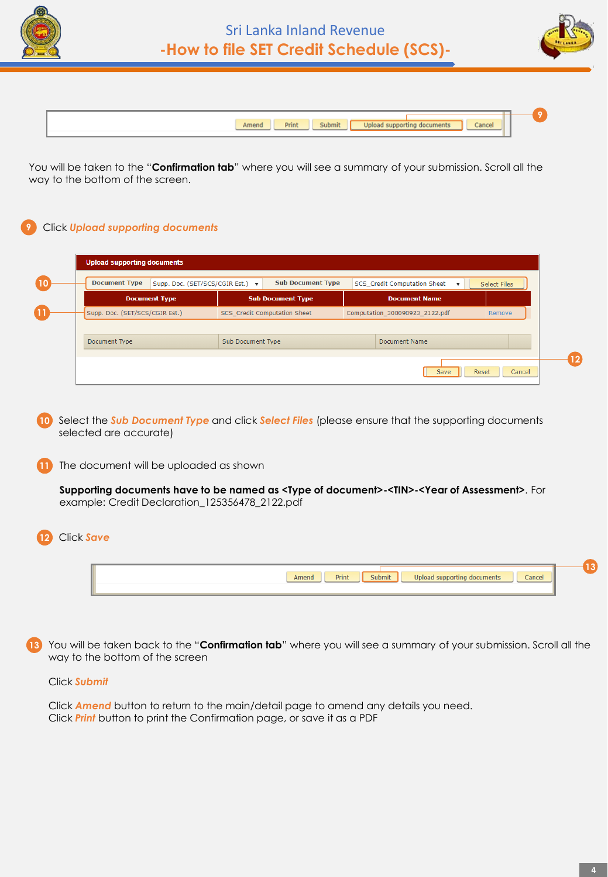



| Amend<br>Print |
|----------------|
|                |

You will be taken to the "**Confirmation tab**" where you will see a summary of your submission. Scroll all the way to the bottom of the screen.

# **9** Click *Upload supporting documents*

| <b>Upload supporting documents</b> |                                  |                   |                              |                                                           |                 |
|------------------------------------|----------------------------------|-------------------|------------------------------|-----------------------------------------------------------|-----------------|
| <b>Document Type</b>               | Supp. Doc. (SET/SCS/CGIR Est.) v |                   | <b>Sub Document Type</b>     | SCS_Credit Computation Sheet<br>$\boldsymbol{\mathrm{v}}$ | Select Files    |
|                                    | <b>Document Type</b>             |                   | <b>Sub Document Type</b>     | <b>Document Name</b>                                      |                 |
| Supp. Doc. (SET/SCS/CGIR Est.)     |                                  |                   | SCS_Credit Computation Sheet | Computation_300090923_2122.pdf                            | Remove          |
|                                    |                                  |                   |                              |                                                           |                 |
| Document Type                      |                                  | Sub Document Type |                              | Document Name                                             |                 |
|                                    |                                  |                   |                              |                                                           |                 |
|                                    |                                  |                   |                              | Save                                                      | Cancel<br>Reset |
|                                    |                                  |                   |                              |                                                           |                 |

**10** Select the *Sub Document Type* and click *Select Files* (please ensure that the supporting documents selected are accurate)

**11** The document will be uploaded as shown

**Supporting documents have to be named as <Type of document>-<TIN>-<Year of Assessment>**. For example: Credit Declaration\_125356478\_2122.pdf

# **12** Click *Save*

| <b>STATE</b><br>`anci<br><b>Shmi</b> s<br>Print |  |
|-------------------------------------------------|--|
|                                                 |  |
|                                                 |  |

**13** You will be taken back to the "**Confirmation tab**" where you will see a summary of your submission. Scroll all the way to the bottom of the screen

### Click *Submit*

Click *Amend* button to return to the main/detail page to amend any details you need. Click *Print* button to print the Confirmation page, or save it as a PDF